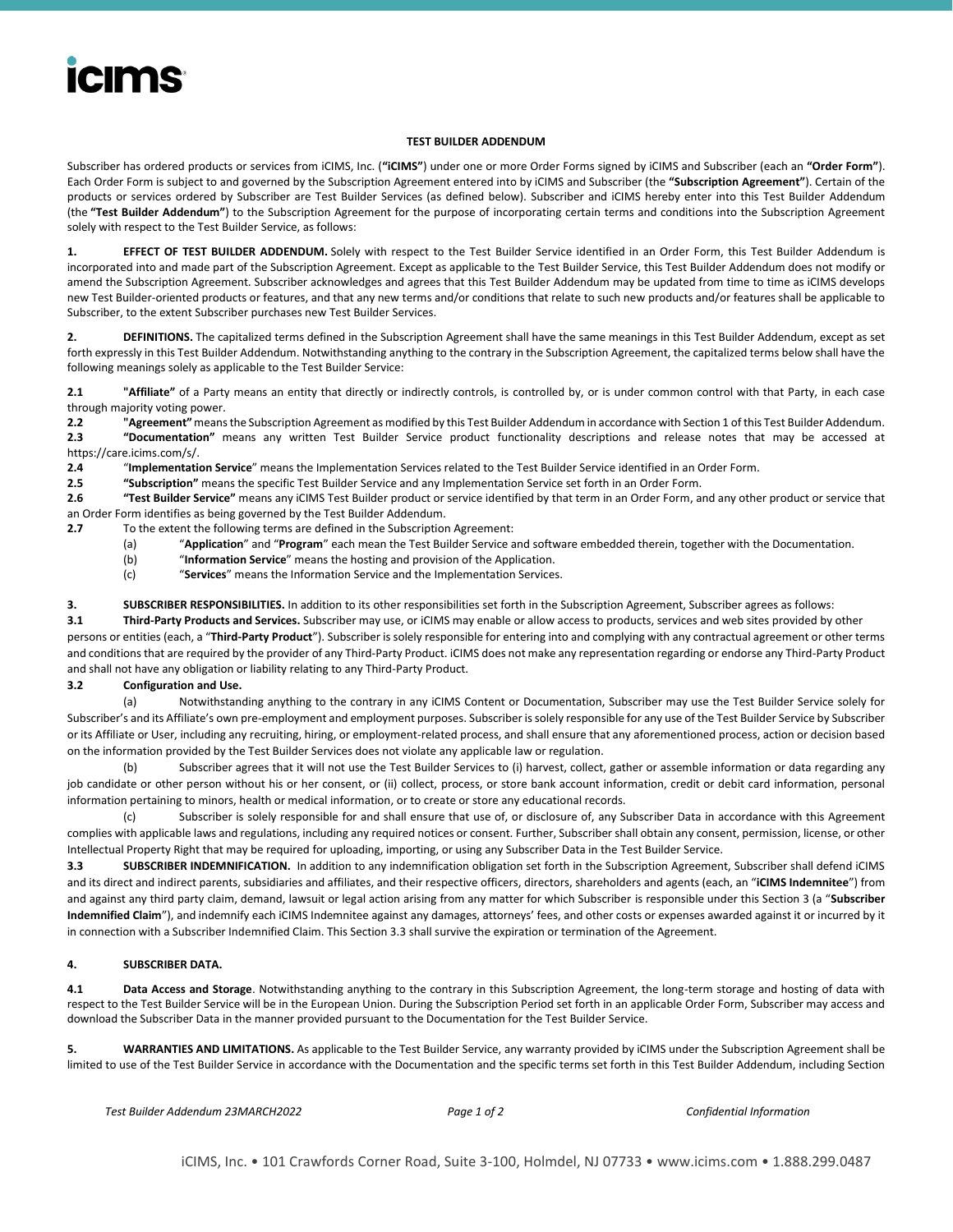# **icims**

#### **TEST BUILDER ADDENDUM**

Subscriber has ordered products or services from iCIMS, Inc. (**"iCIMS"**) under one or more Order Forms signed by iCIMS and Subscriber (each an **"Order Form"**). Each Order Form is subject to and governed by the Subscription Agreement entered into by iCIMS and Subscriber (the **"Subscription Agreement"**). Certain of the products or services ordered by Subscriber are Test Builder Services (as defined below). Subscriber and iCIMS hereby enter into this Test Builder Addendum (the **"Test Builder Addendum"**) to the Subscription Agreement for the purpose of incorporating certain terms and conditions into the Subscription Agreement solely with respect to the Test Builder Service, as follows:

**1. EFFECT OF TEST BUILDER ADDENDUM.** Solely with respect to the Test Builder Service identified in an Order Form, this Test Builder Addendum is incorporated into and made part of the Subscription Agreement. Except as applicable to the Test Builder Service, this Test Builder Addendum does not modify or amend the Subscription Agreement. Subscriber acknowledges and agrees that this Test Builder Addendum may be updated from time to time as iCIMS develops new Test Builder-oriented products or features, and that any new terms and/or conditions that relate to such new products and/or features shall be applicable to Subscriber, to the extent Subscriber purchases new Test Builder Services.

**2. DEFINITIONS.** The capitalized terms defined in the Subscription Agreement shall have the same meanings in this Test Builder Addendum, except as set forth expressly in this Test Builder Addendum. Notwithstanding anything to the contrary in the Subscription Agreement, the capitalized terms below shall have the following meanings solely as applicable to the Test Builder Service:

**2.1 "Affiliate"** of a Party means an entity that directly or indirectly controls, is controlled by, or is under common control with that Party, in each case through majority voting power.

**2.2 "Agreement"**means the Subscription Agreement as modified by this Test Builder Addendum in accordance with Section 1 of this Test Builder Addendum. **2.3 "Documentation"** means any written Test Builder Service product functionality descriptions and release notes that may be accessed at

https://care.icims.com/s/.

**2.4** "**Implementation Service**" means the Implementation Services related to the Test Builder Service identified in an Order Form.

**2.5 "Subscription"** means the specific Test Builder Service and any Implementation Service set forth in an Order Form.

**2.6 "Test Builder Service"** means any iCIMS Test Builder product or service identified by that term in an Order Form, and any other product or service that an Order Form identifies as being governed by the Test Builder Addendum.

- **2.7** To the extent the following terms are defined in the Subscription Agreement:
	- (a) "**Application**" and "**Program**" each mean the Test Builder Service and software embedded therein, together with the Documentation.
	- (b) "**Information Service**" means the hosting and provision of the Application.
	- (c) "**Services**" means the Information Service and the Implementation Services.

**3. SUBSCRIBER RESPONSIBILITIES.** In addition to its other responsibilities set forth in the Subscription Agreement, Subscriber agrees as follows:

**3.1 Third-Party Products and Services.** Subscriber may use, or iCIMS may enable or allow access to products, services and web sites provided by other persons or entities (each, a "**Third-Party Product**"). Subscriber is solely responsible for entering into and complying with any contractual agreement or other terms and conditions that are required by the provider of any Third-Party Product. iCIMS does not make any representation regarding or endorse any Third-Party Product and shall not have any obligation or liability relating to any Third-Party Product.

### **3.2 Configuration and Use.**

(a) Notwithstanding anything to the contrary in any iCIMS Content or Documentation, Subscriber may use the Test Builder Service solely for Subscriber's and its Affiliate's own pre-employment and employment purposes. Subscriber is solely responsible for any use of the Test Builder Service by Subscriber or its Affiliate or User, including any recruiting, hiring, or employment-related process, and shall ensure that any aforementioned process, action or decision based on the information provided by the Test Builder Services does not violate any applicable law or regulation.

(b) Subscriber agrees that it will not use the Test Builder Services to (i) harvest, collect, gather or assemble information or data regarding any job candidate or other person without his or her consent, or (ii) collect, process, or store bank account information, credit or debit card information, personal information pertaining to minors, health or medical information, or to create or store any educational records.

(c) Subscriber is solely responsible for and shall ensure that use of, or disclosure of, any Subscriber Data in accordance with this Agreement complies with applicable laws and regulations, including any required notices or consent. Further, Subscriber shall obtain any consent, permission, license, or other Intellectual Property Right that may be required for uploading, importing, or using any Subscriber Data in the Test Builder Service.

**3.3 SUBSCRIBER INDEMNIFICATION.** In addition to any indemnification obligation set forth in the Subscription Agreement, Subscriber shall defend iCIMS and its direct and indirect parents, subsidiaries and affiliates, and their respective officers, directors, shareholders and agents (each, an "**iCIMS Indemnitee**") from and against any third party claim, demand, lawsuit or legal action arising from any matter for which Subscriber is responsible under this Section 3 (a "**Subscriber Indemnified Claim**"), and indemnify each iCIMS Indemnitee against any damages, attorneys' fees, and other costs or expenses awarded against it or incurred by it in connection with a Subscriber Indemnified Claim. This Section 3.3 shall survive the expiration or termination of the Agreement.

### **4. SUBSCRIBER DATA.**

**4.1 Data Access and Storage**. Notwithstanding anything to the contrary in this Subscription Agreement, the long-term storage and hosting of data with respect to the Test Builder Service will be in the European Union. During the Subscription Period set forth in an applicable Order Form, Subscriber may access and download the Subscriber Data in the manner provided pursuant to the Documentation for the Test Builder Service.

**5. WARRANTIES AND LIMITATIONS.** As applicable to the Test Builder Service, any warranty provided by iCIMS under the Subscription Agreement shall be limited to use of the Test Builder Service in accordance with the Documentation and the specific terms set forth in this Test Builder Addendum, including Section

```
Test Builder Addendum 23MARCH2022 Page 1 of 2 Confidential Information
```